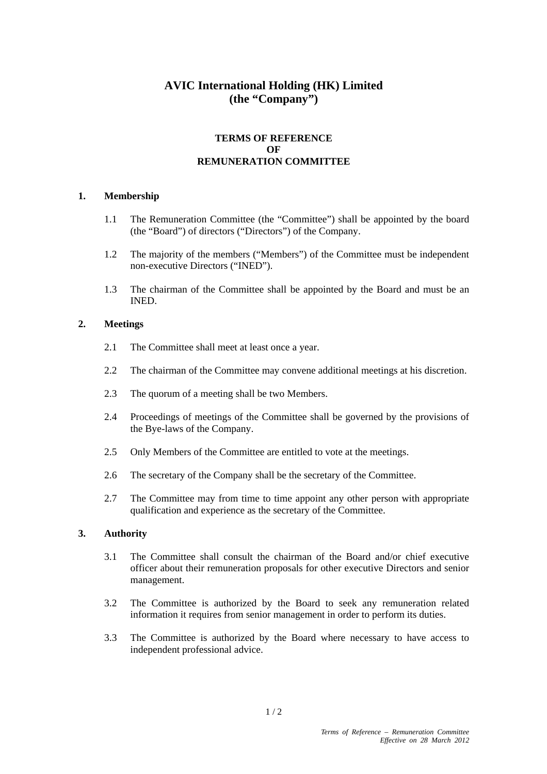# **AVIC International Holding (HK) Limited (the "Company")**

## **TERMS OF REFERENCE OF REMUNERATION COMMITTEE**

#### **1. Membership**

- 1.1 The Remuneration Committee (the "Committee") shall be appointed by the board (the "Board") of directors ("Directors") of the Company.
- 1.2 The majority of the members ("Members") of the Committee must be independent non-executive Directors ("INED").
- 1.3 The chairman of the Committee shall be appointed by the Board and must be an INED.

#### **2. Meetings**

- 2.1 The Committee shall meet at least once a year.
- 2.2 The chairman of the Committee may convene additional meetings at his discretion.
- 2.3 The quorum of a meeting shall be two Members.
- 2.4 Proceedings of meetings of the Committee shall be governed by the provisions of the Bye-laws of the Company.
- 2.5 Only Members of the Committee are entitled to vote at the meetings.
- 2.6 The secretary of the Company shall be the secretary of the Committee.
- 2.7 The Committee may from time to time appoint any other person with appropriate qualification and experience as the secretary of the Committee.

#### **3. Authority**

- 3.1 The Committee shall consult the chairman of the Board and/or chief executive officer about their remuneration proposals for other executive Directors and senior management.
- 3.2 The Committee is authorized by the Board to seek any remuneration related information it requires from senior management in order to perform its duties.
- 3.3 The Committee is authorized by the Board where necessary to have access to independent professional advice.